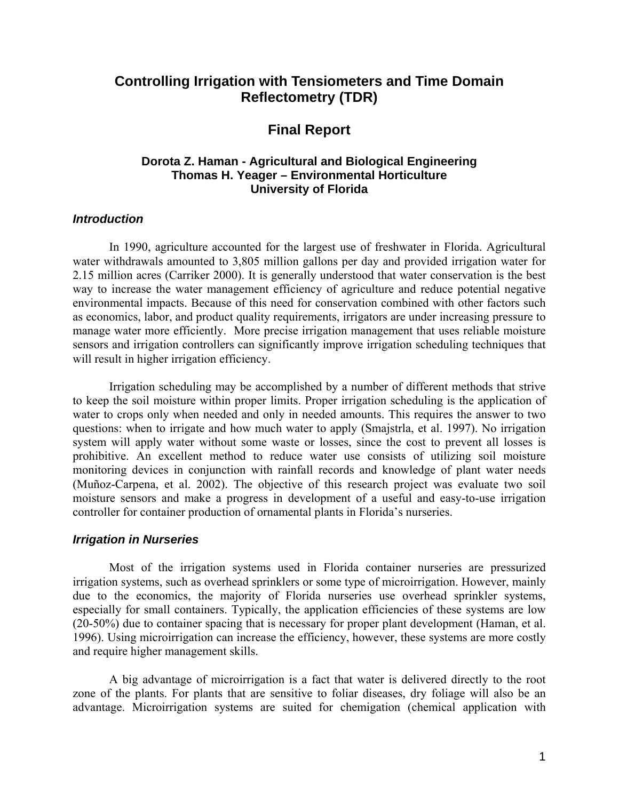# **Controlling Irrigation with Tensiometers and Time Domain Reflectometry (TDR)**

# **Final Report**

# **Dorota Z. Haman - Agricultural and Biological Engineering Thomas H. Yeager – Environmental Horticulture University of Florida**

## *Introduction*

In 1990, agriculture accounted for the largest use of freshwater in Florida. Agricultural water withdrawals amounted to 3,805 million gallons per day and provided irrigation water for 2.15 million acres (Carriker 2000). It is generally understood that water conservation is the best way to increase the water management efficiency of agriculture and reduce potential negative environmental impacts. Because of this need for conservation combined with other factors such as economics, labor, and product quality requirements, irrigators are under increasing pressure to manage water more efficiently. More precise irrigation management that uses reliable moisture sensors and irrigation controllers can significantly improve irrigation scheduling techniques that will result in higher irrigation efficiency.

Irrigation scheduling may be accomplished by a number of different methods that strive to keep the soil moisture within proper limits. Proper irrigation scheduling is the application of water to crops only when needed and only in needed amounts. This requires the answer to two questions: when to irrigate and how much water to apply (Smajstrla, et al. 1997). No irrigation system will apply water without some waste or losses, since the cost to prevent all losses is prohibitive. An excellent method to reduce water use consists of utilizing soil moisture monitoring devices in conjunction with rainfall records and knowledge of plant water needs (Muñoz-Carpena, et al. 2002). The objective of this research project was evaluate two soil moisture sensors and make a progress in development of a useful and easy-to-use irrigation controller for container production of ornamental plants in Florida's nurseries.

### *Irrigation in Nurseries*

Most of the irrigation systems used in Florida container nurseries are pressurized irrigation systems, such as overhead sprinklers or some type of microirrigation. However, mainly due to the economics, the majority of Florida nurseries use overhead sprinkler systems, especially for small containers. Typically, the application efficiencies of these systems are low (20-50%) due to container spacing that is necessary for proper plant development (Haman, et al. 1996). Using microirrigation can increase the efficiency, however, these systems are more costly and require higher management skills.

A big advantage of microirrigation is a fact that water is delivered directly to the root zone of the plants. For plants that are sensitive to foliar diseases, dry foliage will also be an advantage. Microirrigation systems are suited for chemigation (chemical application with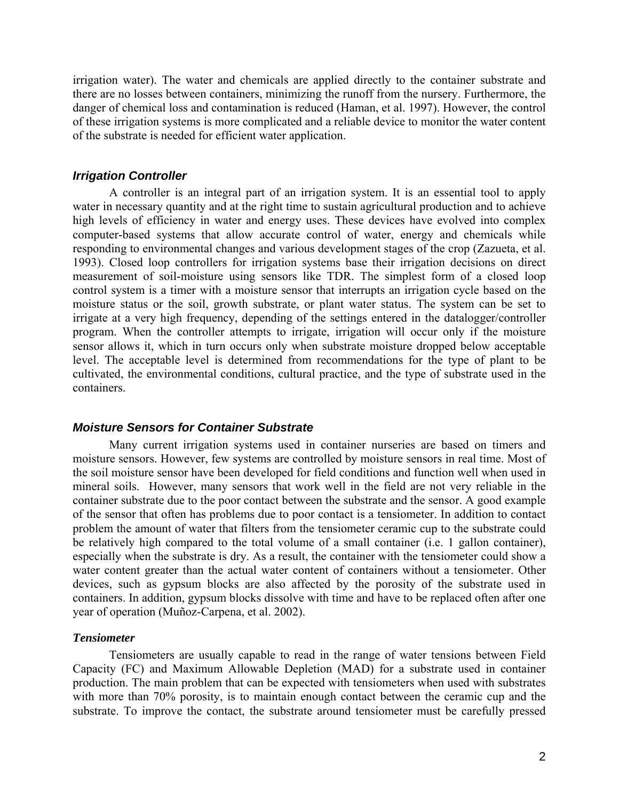irrigation water). The water and chemicals are applied directly to the container substrate and there are no losses between containers, minimizing the runoff from the nursery. Furthermore, the danger of chemical loss and contamination is reduced (Haman, et al. 1997). However, the control of these irrigation systems is more complicated and a reliable device to monitor the water content of the substrate is needed for efficient water application.

#### *Irrigation Controller*

A controller is an integral part of an irrigation system. It is an essential tool to apply water in necessary quantity and at the right time to sustain agricultural production and to achieve high levels of efficiency in water and energy uses. These devices have evolved into complex computer-based systems that allow accurate control of water, energy and chemicals while responding to environmental changes and various development stages of the crop (Zazueta, et al. 1993). Closed loop controllers for irrigation systems base their irrigation decisions on direct measurement of soil-moisture using sensors like TDR. The simplest form of a closed loop control system is a timer with a moisture sensor that interrupts an irrigation cycle based on the moisture status or the soil, growth substrate, or plant water status. The system can be set to irrigate at a very high frequency, depending of the settings entered in the datalogger/controller program. When the controller attempts to irrigate, irrigation will occur only if the moisture sensor allows it, which in turn occurs only when substrate moisture dropped below acceptable level. The acceptable level is determined from recommendations for the type of plant to be cultivated, the environmental conditions, cultural practice, and the type of substrate used in the containers.

### *Moisture Sensors for Container Substrate*

Many current irrigation systems used in container nurseries are based on timers and moisture sensors. However, few systems are controlled by moisture sensors in real time. Most of the soil moisture sensor have been developed for field conditions and function well when used in mineral soils. However, many sensors that work well in the field are not very reliable in the container substrate due to the poor contact between the substrate and the sensor. A good example of the sensor that often has problems due to poor contact is a tensiometer. In addition to contact problem the amount of water that filters from the tensiometer ceramic cup to the substrate could be relatively high compared to the total volume of a small container (i.e. 1 gallon container), especially when the substrate is dry. As a result, the container with the tensiometer could show a water content greater than the actual water content of containers without a tensiometer. Other devices, such as gypsum blocks are also affected by the porosity of the substrate used in containers. In addition, gypsum blocks dissolve with time and have to be replaced often after one year of operation (Muñoz-Carpena, et al. 2002).

### *Tensiometer*

Tensiometers are usually capable to read in the range of water tensions between Field Capacity (FC) and Maximum Allowable Depletion (MAD) for a substrate used in container production. The main problem that can be expected with tensiometers when used with substrates with more than 70% porosity, is to maintain enough contact between the ceramic cup and the substrate. To improve the contact, the substrate around tensiometer must be carefully pressed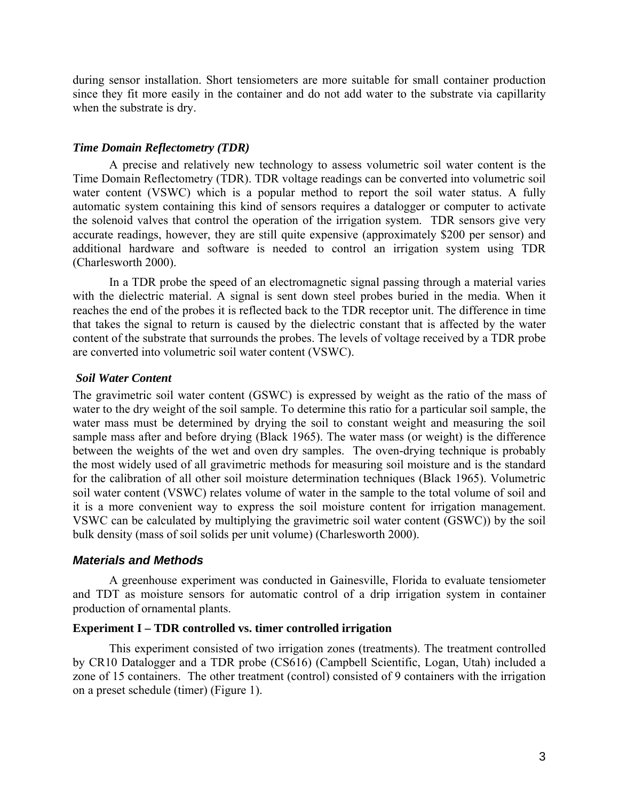during sensor installation. Short tensiometers are more suitable for small container production since they fit more easily in the container and do not add water to the substrate via capillarity when the substrate is dry.

### *Time Domain Reflectometry (TDR)*

A precise and relatively new technology to assess volumetric soil water content is the Time Domain Reflectometry (TDR). TDR voltage readings can be converted into volumetric soil water content (VSWC) which is a popular method to report the soil water status. A fully automatic system containing this kind of sensors requires a datalogger or computer to activate the solenoid valves that control the operation of the irrigation system. TDR sensors give very accurate readings, however, they are still quite expensive (approximately \$200 per sensor) and additional hardware and software is needed to control an irrigation system using TDR (Charlesworth 2000).

In a TDR probe the speed of an electromagnetic signal passing through a material varies with the dielectric material. A signal is sent down steel probes buried in the media. When it reaches the end of the probes it is reflected back to the TDR receptor unit. The difference in time that takes the signal to return is caused by the dielectric constant that is affected by the water content of the substrate that surrounds the probes. The levels of voltage received by a TDR probe are converted into volumetric soil water content (VSWC).

### *Soil Water Content*

The gravimetric soil water content (GSWC) is expressed by weight as the ratio of the mass of water to the dry weight of the soil sample. To determine this ratio for a particular soil sample, the water mass must be determined by drying the soil to constant weight and measuring the soil sample mass after and before drying (Black 1965). The water mass (or weight) is the difference between the weights of the wet and oven dry samples. The oven-drying technique is probably the most widely used of all gravimetric methods for measuring soil moisture and is the standard for the calibration of all other soil moisture determination techniques (Black 1965). Volumetric soil water content (VSWC) relates volume of water in the sample to the total volume of soil and it is a more convenient way to express the soil moisture content for irrigation management. VSWC can be calculated by multiplying the gravimetric soil water content (GSWC)) by the soil bulk density (mass of soil solids per unit volume) (Charlesworth 2000).

### *Materials and Methods*

A greenhouse experiment was conducted in Gainesville, Florida to evaluate tensiometer and TDT as moisture sensors for automatic control of a drip irrigation system in container production of ornamental plants.

### **Experiment I – TDR controlled vs. timer controlled irrigation**

This experiment consisted of two irrigation zones (treatments). The treatment controlled by CR10 Datalogger and a TDR probe (CS616) (Campbell Scientific, Logan, Utah) included a zone of 15 containers. The other treatment (control) consisted of 9 containers with the irrigation on a preset schedule (timer) (Figure 1).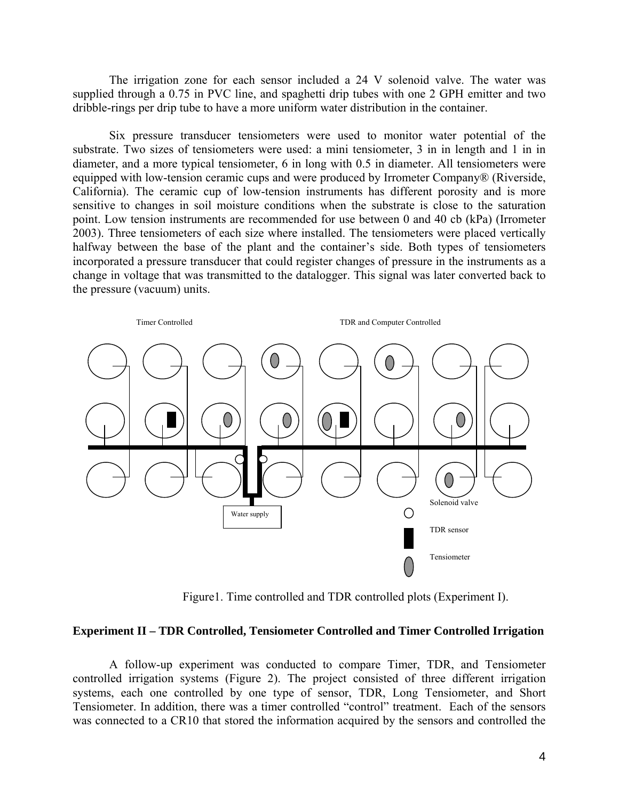The irrigation zone for each sensor included a 24 V solenoid valve. The water was supplied through a 0.75 in PVC line, and spaghetti drip tubes with one 2 GPH emitter and two dribble-rings per drip tube to have a more uniform water distribution in the container.

Six pressure transducer tensiometers were used to monitor water potential of the substrate. Two sizes of tensiometers were used: a mini tensiometer, 3 in in length and 1 in in diameter, and a more typical tensiometer, 6 in long with 0.5 in diameter. All tensiometers were equipped with low-tension ceramic cups and were produced by Irrometer Company® (Riverside, California). The ceramic cup of low-tension instruments has different porosity and is more sensitive to changes in soil moisture conditions when the substrate is close to the saturation point. Low tension instruments are recommended for use between 0 and 40 cb (kPa) (Irrometer 2003). Three tensiometers of each size where installed. The tensiometers were placed vertically halfway between the base of the plant and the container's side. Both types of tensiometers incorporated a pressure transducer that could register changes of pressure in the instruments as a change in voltage that was transmitted to the datalogger. This signal was later converted back to the pressure (vacuum) units.



Figure1. Time controlled and TDR controlled plots (Experiment I).

#### **Experiment II – TDR Controlled, Tensiometer Controlled and Timer Controlled Irrigation**

A follow-up experiment was conducted to compare Timer, TDR, and Tensiometer controlled irrigation systems (Figure 2). The project consisted of three different irrigation systems, each one controlled by one type of sensor, TDR, Long Tensiometer, and Short Tensiometer. In addition, there was a timer controlled "control" treatment. Each of the sensors was connected to a CR10 that stored the information acquired by the sensors and controlled the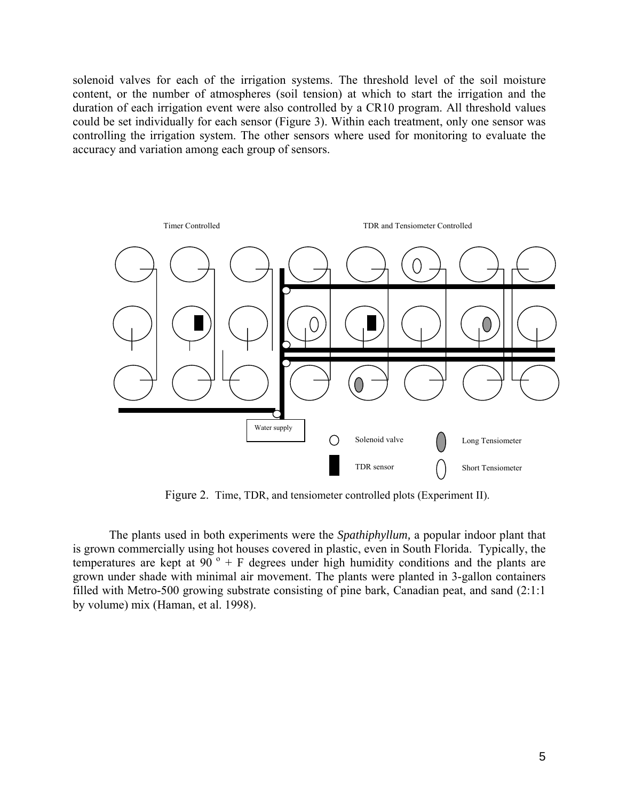solenoid valves for each of the irrigation systems. The threshold level of the soil moisture content, or the number of atmospheres (soil tension) at which to start the irrigation and the duration of each irrigation event were also controlled by a CR10 program. All threshold values could be set individually for each sensor (Figure 3). Within each treatment, only one sensor was controlling the irrigation system. The other sensors where used for monitoring to evaluate the accuracy and variation among each group of sensors.



Figure 2. Time, TDR, and tensiometer controlled plots (Experiment II).

The plants used in both experiments were the *Spathiphyllum,* a popular indoor plant that is grown commercially using hot houses covered in plastic, even in South Florida. Typically, the temperatures are kept at  $90^\circ$  + F degrees under high humidity conditions and the plants are grown under shade with minimal air movement. The plants were planted in 3-gallon containers filled with Metro-500 growing substrate consisting of pine bark, Canadian peat, and sand (2:1:1 by volume) mix (Haman, et al. 1998).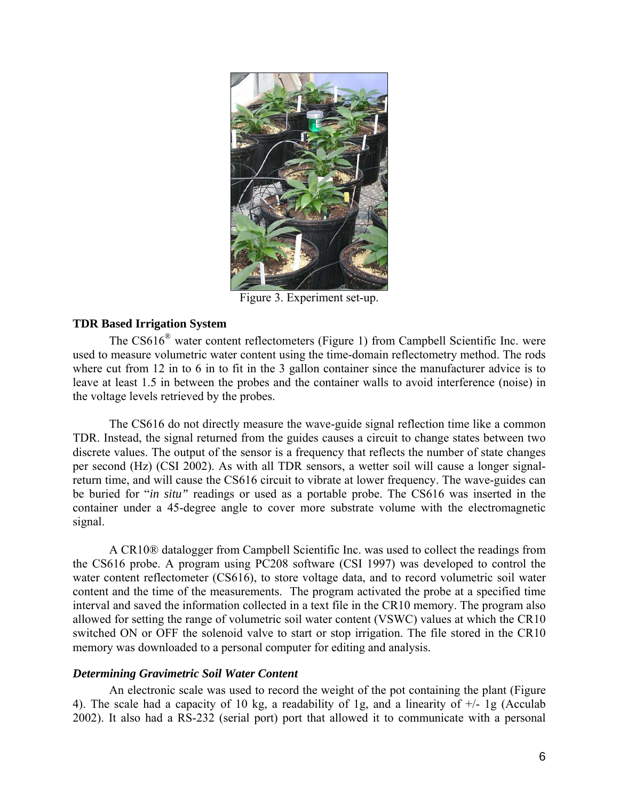

Figure 3. Experiment set-up.

## **TDR Based Irrigation System**

The CS616® water content reflectometers (Figure 1) from Campbell Scientific Inc. were used to measure volumetric water content using the time-domain reflectometry method. The rods where cut from 12 in to 6 in to fit in the 3 gallon container since the manufacturer advice is to leave at least 1.5 in between the probes and the container walls to avoid interference (noise) in the voltage levels retrieved by the probes.

The CS616 do not directly measure the wave-guide signal reflection time like a common TDR. Instead, the signal returned from the guides causes a circuit to change states between two discrete values. The output of the sensor is a frequency that reflects the number of state changes per second (Hz) (CSI 2002). As with all TDR sensors, a wetter soil will cause a longer signalreturn time, and will cause the CS616 circuit to vibrate at lower frequency. The wave-guides can be buried for "*in situ"* readings or used as a portable probe. The CS616 was inserted in the container under a 45-degree angle to cover more substrate volume with the electromagnetic signal.

A CR10® datalogger from Campbell Scientific Inc. was used to collect the readings from the CS616 probe. A program using PC208 software (CSI 1997) was developed to control the water content reflectometer (CS616), to store voltage data, and to record volumetric soil water content and the time of the measurements. The program activated the probe at a specified time interval and saved the information collected in a text file in the CR10 memory. The program also allowed for setting the range of volumetric soil water content (VSWC) values at which the CR10 switched ON or OFF the solenoid valve to start or stop irrigation. The file stored in the CR10 memory was downloaded to a personal computer for editing and analysis.

### *Determining Gravimetric Soil Water Content*

An electronic scale was used to record the weight of the pot containing the plant (Figure 4). The scale had a capacity of 10 kg, a readability of 1g, and a linearity of  $+/-$  1g (Acculab 2002). It also had a RS-232 (serial port) port that allowed it to communicate with a personal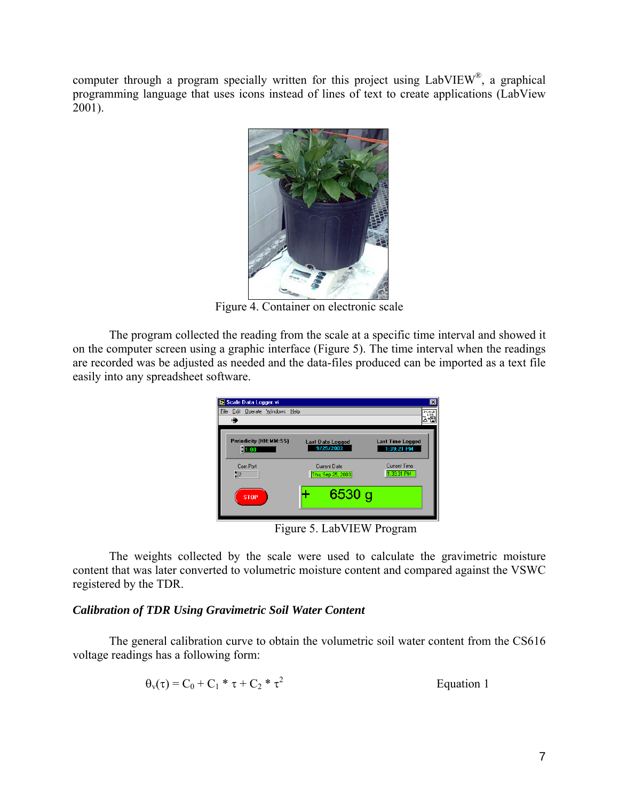computer through a program specially written for this project using LabVIEW®, a graphical programming language that uses icons instead of lines of text to create applications (LabView 2001).



Figure 4. Container on electronic scale

The program collected the reading from the scale at a specific time interval and showed it on the computer screen using a graphic interface (Figure 5). The time interval when the readings are recorded was be adjusted as needed and the data-files produced can be imported as a text file easily into any spreadsheet software.

| Scale Data Logger.vi               |                                      | $\times$                              |
|------------------------------------|--------------------------------------|---------------------------------------|
| File Edit Operate Windows Help     |                                      | SCALE<br>LOG                          |
| цij                                |                                      |                                       |
| Periodicity (HH:MM:SS)<br>$= 1:00$ | <b>Last Date Logged</b><br>9/25/2003 | <b>Last Time Logged</b><br>1:39:21 PM |
| Com Port<br>$\frac{4}{7}$ 2        | Current Date<br>Thu, Sep 25, 2003    | <b>Current Time</b><br>1:39:31 PM     |
| <b>STOP</b>                        | 6530 g                               |                                       |
|                                    |                                      |                                       |

Figure 5. LabVIEW Program

The weights collected by the scale were used to calculate the gravimetric moisture content that was later converted to volumetric moisture content and compared against the VSWC registered by the TDR.

# *Calibration of TDR Using Gravimetric Soil Water Content*

The general calibration curve to obtain the volumetric soil water content from the CS616 voltage readings has a following form:

$$
\Theta_{\rm v}(\tau) = C_0 + C_1 \cdot \tau + C_2 \cdot \tau^2
$$
 Equation 1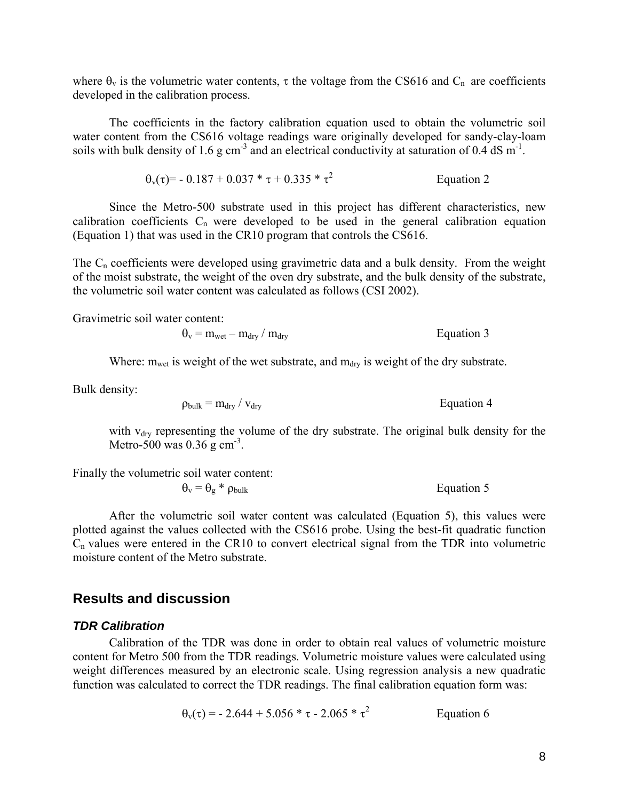where  $\theta_v$  is the volumetric water contents,  $\tau$  the voltage from the CS616 and C<sub>n</sub> are coefficients developed in the calibration process.

The coefficients in the factory calibration equation used to obtain the volumetric soil water content from the CS616 voltage readings ware originally developed for sandy-clay-loam soils with bulk density of 1.6 g cm<sup>-3</sup> and an electrical conductivity at saturation of 0.4 dS m<sup>-1</sup>.

$$
\theta_{\rm v}(\tau) = -0.187 + 0.037 \cdot \tau + 0.335 \cdot \tau^2
$$
 Equation 2

 Since the Metro-500 substrate used in this project has different characteristics, new calibration coefficients  $C_n$  were developed to be used in the general calibration equation (Equation 1) that was used in the CR10 program that controls the CS616.

The  $C_n$  coefficients were developed using gravimetric data and a bulk density. From the weight of the moist substrate, the weight of the oven dry substrate, and the bulk density of the substrate, the volumetric soil water content was calculated as follows (CSI 2002).

Gravimetric soil water content:

$$
\theta_{\rm v} = m_{\rm wet} - m_{\rm dry} / m_{\rm dry}
$$
 Equation 3

Where:  $m_{wet}$  is weight of the wet substrate, and  $m_{drv}$  is weight of the dry substrate.

Bulk density:

$$
\rho_{\text{bulk}} = m_{\text{dry}} / v_{\text{dry}}
$$
 Equation 4

with  $v<sub>drv</sub>$  representing the volume of the dry substrate. The original bulk density for the Metro-500 was  $0.36$  g cm<sup>-3</sup>.

Finally the volumetric soil water content:

$$
\theta_{\rm v} = \theta_{\rm g} * \rho_{\rm bulk} \tag{Equation 5}
$$

After the volumetric soil water content was calculated (Equation 5), this values were plotted against the values collected with the CS616 probe. Using the best-fit quadratic function  $C_n$  values were entered in the CR10 to convert electrical signal from the TDR into volumetric moisture content of the Metro substrate.

# **Results and discussion**

#### *TDR Calibration*

Calibration of the TDR was done in order to obtain real values of volumetric moisture content for Metro 500 from the TDR readings. Volumetric moisture values were calculated using weight differences measured by an electronic scale. Using regression analysis a new quadratic function was calculated to correct the TDR readings. The final calibration equation form was:

$$
\theta_{\rm v}(\tau) = -2.644 + 5.056 \cdot \tau - 2.065 \cdot \tau^2
$$
 Equation 6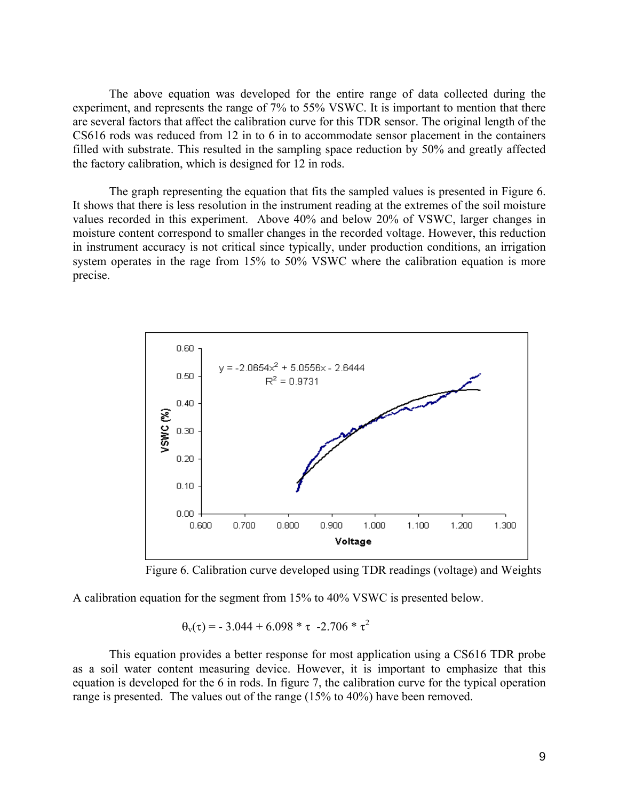The above equation was developed for the entire range of data collected during the experiment, and represents the range of 7% to 55% VSWC. It is important to mention that there are several factors that affect the calibration curve for this TDR sensor. The original length of the CS616 rods was reduced from 12 in to 6 in to accommodate sensor placement in the containers filled with substrate. This resulted in the sampling space reduction by 50% and greatly affected the factory calibration, which is designed for 12 in rods.

The graph representing the equation that fits the sampled values is presented in Figure 6. It shows that there is less resolution in the instrument reading at the extremes of the soil moisture values recorded in this experiment. Above 40% and below 20% of VSWC, larger changes in moisture content correspond to smaller changes in the recorded voltage. However, this reduction in instrument accuracy is not critical since typically, under production conditions, an irrigation system operates in the rage from 15% to 50% VSWC where the calibration equation is more precise.



Figure 6. Calibration curve developed using TDR readings (voltage) and Weights

A calibration equation for the segment from 15% to 40% VSWC is presented below.

 $\theta_v(\tau) = -3.044 + 6.098 * \tau -2.706 * \tau^2$ 

This equation provides a better response for most application using a CS616 TDR probe as a soil water content measuring device. However, it is important to emphasize that this equation is developed for the 6 in rods. In figure 7, the calibration curve for the typical operation range is presented. The values out of the range (15% to 40%) have been removed.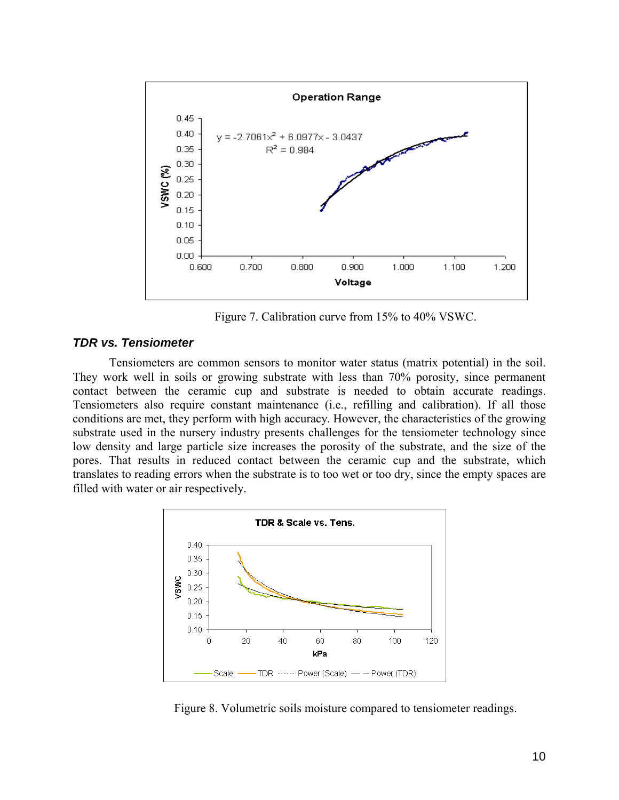

Figure 7. Calibration curve from 15% to 40% VSWC.

### *TDR vs. Tensiometer*

Tensiometers are common sensors to monitor water status (matrix potential) in the soil. They work well in soils or growing substrate with less than 70% porosity, since permanent contact between the ceramic cup and substrate is needed to obtain accurate readings. Tensiometers also require constant maintenance (i.e., refilling and calibration). If all those conditions are met, they perform with high accuracy. However, the characteristics of the growing substrate used in the nursery industry presents challenges for the tensiometer technology since low density and large particle size increases the porosity of the substrate, and the size of the pores. That results in reduced contact between the ceramic cup and the substrate, which translates to reading errors when the substrate is to too wet or too dry, since the empty spaces are filled with water or air respectively.



Figure 8. Volumetric soils moisture compared to tensiometer readings.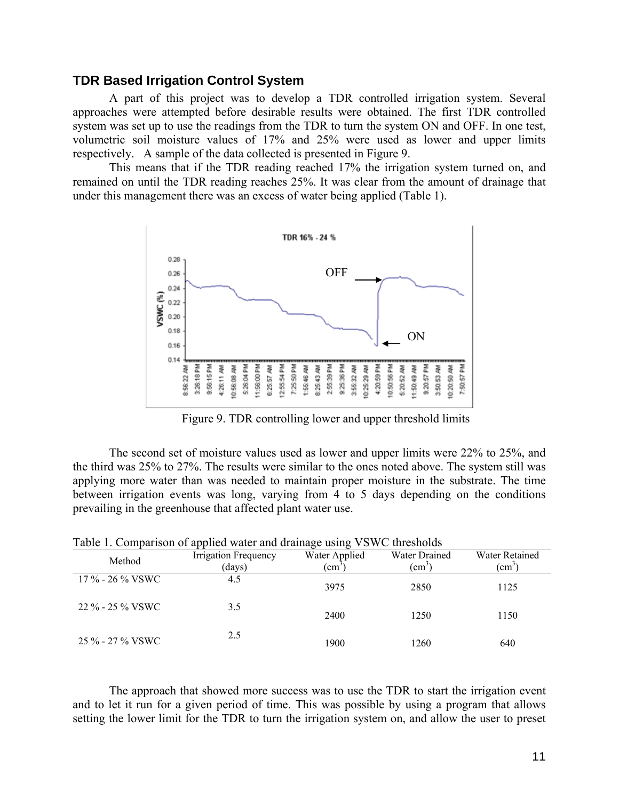### **TDR Based Irrigation Control System**

A part of this project was to develop a TDR controlled irrigation system. Several approaches were attempted before desirable results were obtained. The first TDR controlled system was set up to use the readings from the TDR to turn the system ON and OFF. In one test, volumetric soil moisture values of 17% and 25% were used as lower and upper limits respectively. A sample of the data collected is presented in Figure 9.

This means that if the TDR reading reached 17% the irrigation system turned on, and remained on until the TDR reading reaches 25%. It was clear from the amount of drainage that under this management there was an excess of water being applied (Table 1).



Figure 9. TDR controlling lower and upper threshold limits

The second set of moisture values used as lower and upper limits were 22% to 25%, and the third was 25% to 27%. The results were similar to the ones noted above. The system still was applying more water than was needed to maintain proper moisture in the substrate. The time between irrigation events was long, varying from 4 to 5 days depending on the conditions prevailing in the greenhouse that affected plant water use.

| Table 1. Comparison of applied water and drainage using VSWC thresholds |                                |                                  |                                       |                                 |  |  |
|-------------------------------------------------------------------------|--------------------------------|----------------------------------|---------------------------------------|---------------------------------|--|--|
| Method                                                                  | Irrigation Frequency<br>(days) | Water Applied<br>$\rm \ (cm^{2}$ | <b>Water Drained</b><br>$\text{cm}^3$ | Water Retained<br>$\text{cm}^3$ |  |  |
| $17\%$ - 26 % VSWC                                                      | 4.5                            | 3975                             | 2850                                  | 1125                            |  |  |
| 22 % - 25 % VSWC                                                        | 3.5                            | 2400                             | 1250                                  | 1150                            |  |  |
| 25 % - 27 % VSWC                                                        | 2.5                            | 1900                             | 1260                                  | 640                             |  |  |

The approach that showed more success was to use the TDR to start the irrigation event and to let it run for a given period of time. This was possible by using a program that allows setting the lower limit for the TDR to turn the irrigation system on, and allow the user to preset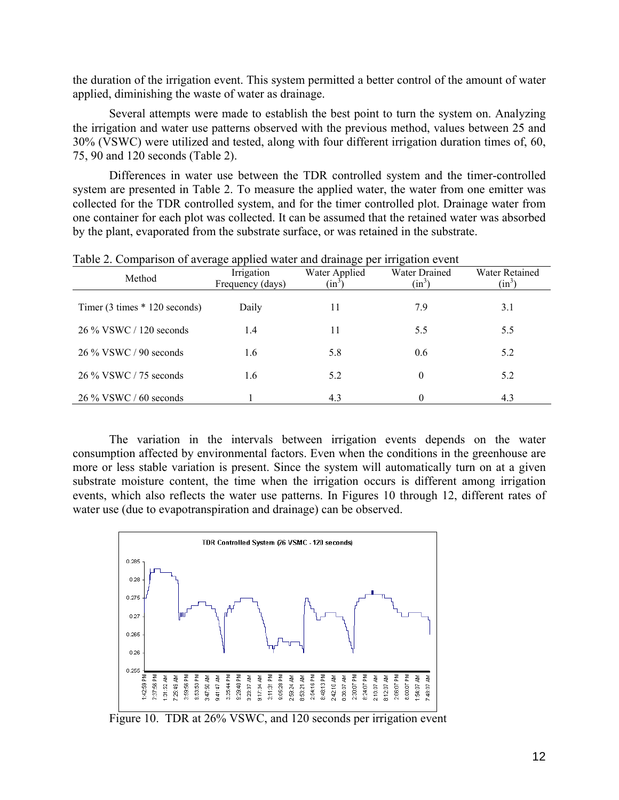the duration of the irrigation event. This system permitted a better control of the amount of water applied, diminishing the waste of water as drainage.

Several attempts were made to establish the best point to turn the system on. Analyzing the irrigation and water use patterns observed with the previous method, values between 25 and 30% (VSWC) were utilized and tested, along with four different irrigation duration times of, 60, 75, 90 and 120 seconds (Table 2).

Differences in water use between the TDR controlled system and the timer-controlled system are presented in Table 2. To measure the applied water, the water from one emitter was collected for the TDR controlled system, and for the timer controlled plot. Drainage water from one container for each plot was collected. It can be assumed that the retained water was absorbed by the plant, evaporated from the substrate surface, or was retained in the substrate.

| Method                         | Irrigation<br>Frequency (days) | Water Applied<br>$(in^3)$ | Water Drained<br>$(in^3)$ | <b>Water Retained</b><br>$(in^3)$ |
|--------------------------------|--------------------------------|---------------------------|---------------------------|-----------------------------------|
|                                |                                |                           |                           |                                   |
| Timer $(3 \times 120$ seconds) | Daily                          | 11                        | 7.9                       | 3.1                               |
| 26 % VSWC / 120 seconds        | 1.4                            | 11                        | 5.5                       | 5.5                               |
| 26 % VSWC / 90 seconds         | 1.6                            | 5.8                       | 0.6                       | 5.2                               |
| 26 % VSWC / 75 seconds         | 1.6                            | 5.2                       | $\theta$                  | 5.2                               |
| $26\%$ VSWC / 60 seconds       |                                | 4.3                       | $\theta$                  | 4.3                               |

Table 2. Comparison of average applied water and drainage per irrigation event

The variation in the intervals between irrigation events depends on the water consumption affected by environmental factors. Even when the conditions in the greenhouse are more or less stable variation is present. Since the system will automatically turn on at a given substrate moisture content, the time when the irrigation occurs is different among irrigation events, which also reflects the water use patterns. In Figures 10 through 12, different rates of water use (due to evapotranspiration and drainage) can be observed.



Figure 10. TDR at 26% VSWC, and 120 seconds per irrigation event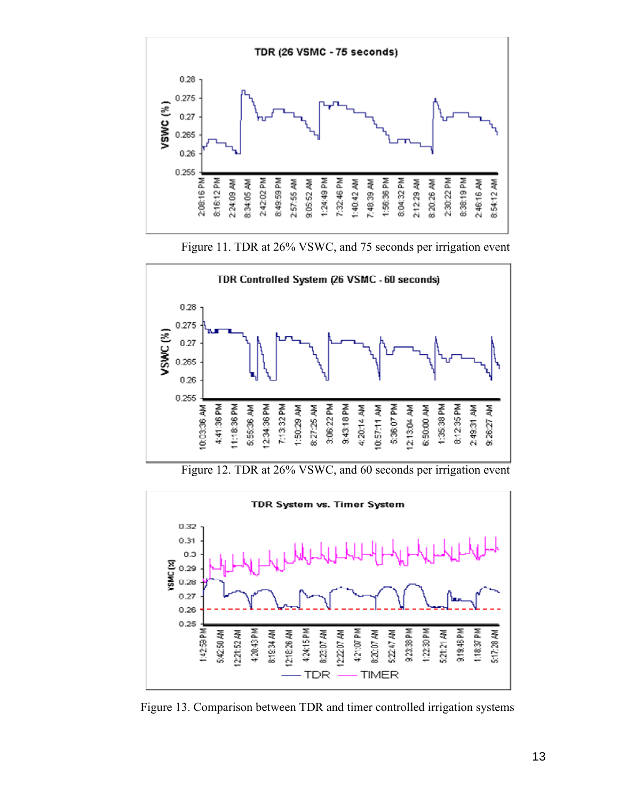





Figure 12. TDR at 26% VSWC, and 60 seconds per irrigation event



Figure 13. Comparison between TDR and timer controlled irrigation systems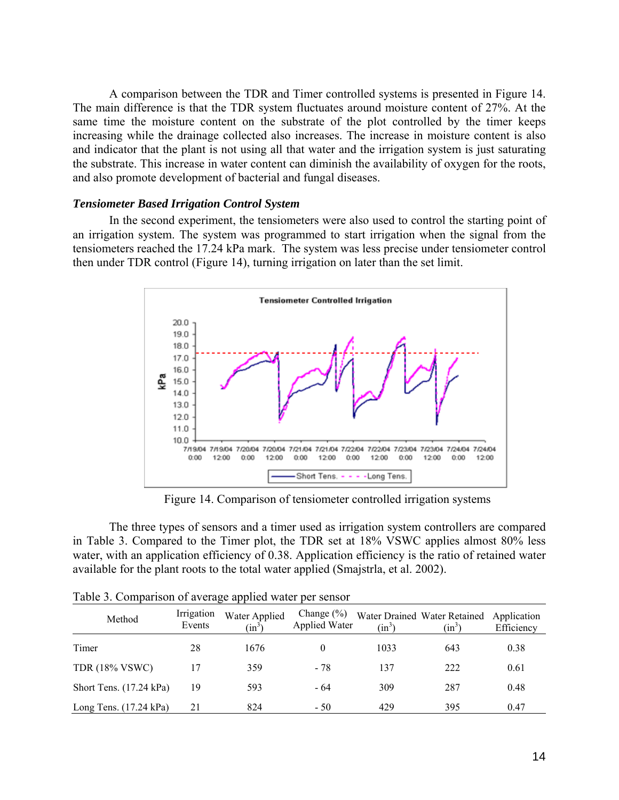A comparison between the TDR and Timer controlled systems is presented in Figure 14. The main difference is that the TDR system fluctuates around moisture content of 27%. At the same time the moisture content on the substrate of the plot controlled by the timer keeps increasing while the drainage collected also increases. The increase in moisture content is also and indicator that the plant is not using all that water and the irrigation system is just saturating the substrate. This increase in water content can diminish the availability of oxygen for the roots, and also promote development of bacterial and fungal diseases.

#### *Tensiometer Based Irrigation Control System*

 In the second experiment, the tensiometers were also used to control the starting point of an irrigation system. The system was programmed to start irrigation when the signal from the tensiometers reached the 17.24 kPa mark. The system was less precise under tensiometer control then under TDR control (Figure 14), turning irrigation on later than the set limit.



Figure 14. Comparison of tensiometer controlled irrigation systems

 The three types of sensors and a timer used as irrigation system controllers are compared in Table 3. Compared to the Timer plot, the TDR set at 18% VSWC applies almost 80% less water, with an application efficiency of 0.38. Application efficiency is the ratio of retained water available for the plant roots to the total water applied (Smajstrla, et al. 2002).

| Method                           | Irrigation<br>Events | Water Applied<br>$(in^3)$ | Change $(\% )$<br>Applied Water | $(in^3)$ | Water Drained Water Retained<br>$(in^3)$ | Application<br>Efficiency |
|----------------------------------|----------------------|---------------------------|---------------------------------|----------|------------------------------------------|---------------------------|
| Timer                            | 28                   | 1676                      |                                 | 1033     | 643                                      | 0.38                      |
| <b>TDR (18% VSWC)</b>            | 17                   | 359                       | $-78$                           | 137      | 222                                      | 0.61                      |
| Short Tens. (17.24 kPa)          | 19                   | 593                       | - 64                            | 309      | 287                                      | 0.48                      |
| Long Tens. $(17.24 \text{ kPa})$ | 21                   | 824                       | $-50$                           | 429      | 395                                      | 0.47                      |

| Table 3. Comparison of average applied water per sensor |  |
|---------------------------------------------------------|--|
|---------------------------------------------------------|--|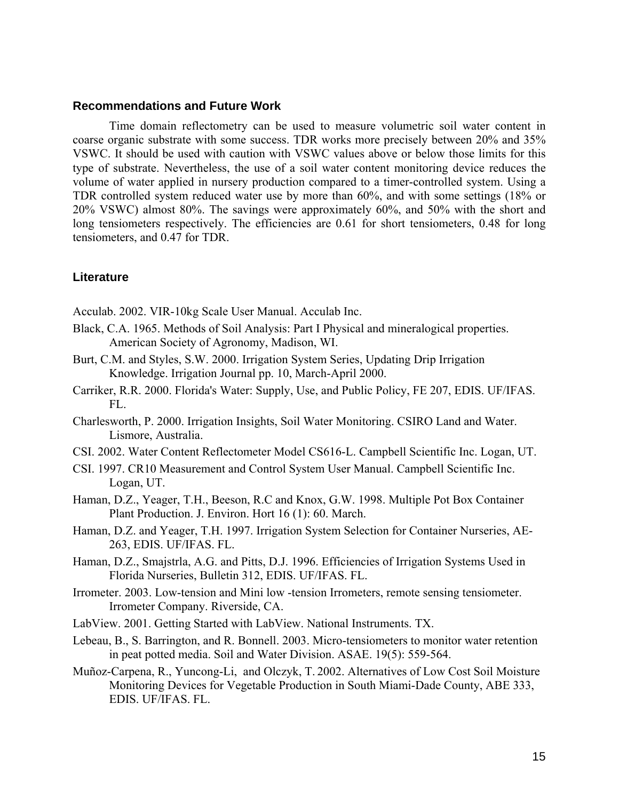### **Recommendations and Future Work**

 Time domain reflectometry can be used to measure volumetric soil water content in coarse organic substrate with some success. TDR works more precisely between 20% and 35% VSWC. It should be used with caution with VSWC values above or below those limits for this type of substrate. Nevertheless, the use of a soil water content monitoring device reduces the volume of water applied in nursery production compared to a timer-controlled system. Using a TDR controlled system reduced water use by more than 60%, and with some settings (18% or 20% VSWC) almost 80%. The savings were approximately 60%, and 50% with the short and long tensiometers respectively. The efficiencies are 0.61 for short tensiometers, 0.48 for long tensiometers, and 0.47 for TDR.

### **Literature**

Acculab. 2002. VIR-10kg Scale User Manual. Acculab Inc.

- Black, C.A. 1965. Methods of Soil Analysis: Part I Physical and mineralogical properties. American Society of Agronomy, Madison, WI.
- Burt, C.M. and Styles, S.W. 2000. Irrigation System Series, Updating Drip Irrigation Knowledge. Irrigation Journal pp. 10, March-April 2000.
- Carriker, R.R. 2000. Florida's Water: Supply, Use, and Public Policy, FE 207, EDIS. UF/IFAS. FL.
- Charlesworth, P. 2000. Irrigation Insights, Soil Water Monitoring. CSIRO Land and Water. Lismore, Australia.
- CSI. 2002. Water Content Reflectometer Model CS616-L. Campbell Scientific Inc. Logan, UT.
- CSI. 1997. CR10 Measurement and Control System User Manual. Campbell Scientific Inc. Logan, UT.
- Haman, D.Z., Yeager, T.H., Beeson, R.C and Knox, G.W. 1998. Multiple Pot Box Container Plant Production. J. Environ. Hort 16 (1): 60. March.
- Haman, D.Z. and Yeager, T.H. 1997. Irrigation System Selection for Container Nurseries, AE-263, EDIS. UF/IFAS. FL.
- Haman, D.Z., Smajstrla, A.G. and Pitts, D.J. 1996. Efficiencies of Irrigation Systems Used in Florida Nurseries, Bulletin 312, EDIS. UF/IFAS. FL.
- Irrometer. 2003. Low-tension and Mini low -tension Irrometers, remote sensing tensiometer. Irrometer Company. Riverside, CA.
- LabView. 2001. Getting Started with LabView. National Instruments. TX.
- Lebeau, B., S. Barrington, and R. Bonnell. 2003. Micro-tensiometers to monitor water retention in peat potted media. Soil and Water Division. ASAE. 19(5): 559-564.
- Muñoz-Carpena, R., Yuncong-Li, and Olczyk, T. 2002. Alternatives of Low Cost Soil Moisture Monitoring Devices for Vegetable Production in South Miami-Dade County, ABE 333, EDIS. UF/IFAS. FL.